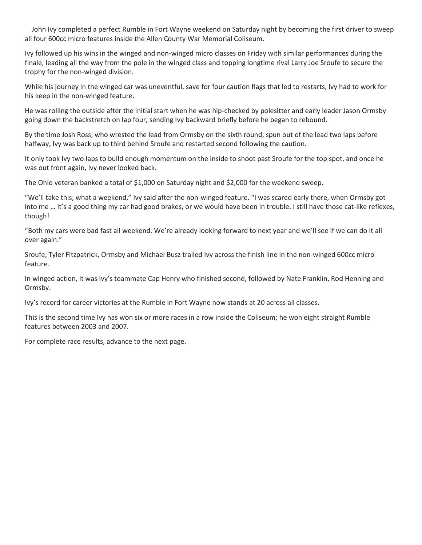John Ivy completed a perfect Rumble in Fort Wayne weekend on Saturday night by becoming the first driver to sweep all four 600cc micro features inside the Allen County War Memorial Coliseum.

Ivy followed up his wins in the winged and non-winged micro classes on Friday with similar performances during the finale, leading all the way from the pole in the winged class and topping longtime rival Larry Joe Sroufe to secure the trophy for the non-winged division.

While his journey in the winged car was uneventful, save for four caution flags that led to restarts, Ivy had to work for his keep in the non-winged feature.

He was rolling the outside after the initial start when he was hip-checked by polesitter and early leader Jason Ormsby going down the backstretch on lap four, sending Ivy backward briefly before he began to rebound.

By the time Josh Ross, who wrested the lead from Ormsby on the sixth round, spun out of the lead two laps before halfway, Ivy was back up to third behind Sroufe and restarted second following the caution.

It only took Ivy two laps to build enough momentum on the inside to shoot past Sroufe for the top spot, and once he was out front again, Ivy never looked back.

The Ohio veteran banked a total of \$1,000 on Saturday night and \$2,000 for the weekend sweep.

"We'll take this; what a weekend," Ivy said after the non-winged feature. "I was scared early there, when Ormsby got into me … it's a good thing my car had good brakes, or we would have been in trouble. I still have those cat-like reflexes, though!

"Both my cars were bad fast all weekend. We're already looking forward to next year and we'll see if we can do it all over again."

Sroufe, Tyler Fitzpatrick, Ormsby and Michael Busz trailed Ivy across the finish line in the non-winged 600cc micro feature.

In winged action, it was Ivy's teammate Cap Henry who finished second, followed by Nate Franklin, Rod Henning and Ormsby.

Ivy's record for career victories at the Rumble in Fort Wayne now stands at 20 across all classes.

This is the second time Ivy has won six or more races in a row inside the Coliseum; he won eight straight Rumble features between 2003 and 2007.

For complete race results, advance to the next page.